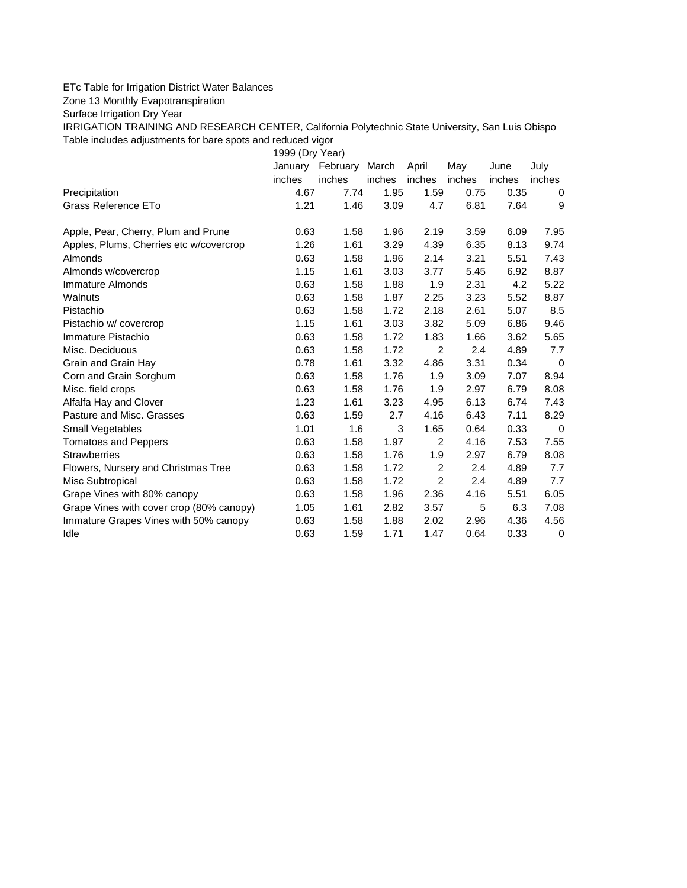## ETc Table for Irrigation District Water Balances

Zone 13 Monthly Evapotranspiration

Surface Irrigation Dry Year

IRRIGATION TRAINING AND RESEARCH CENTER, California Polytechnic State University, San Luis Obispo Table includes adjustments for bare spots and reduced vigor

1999 (Dry Year)

|                                          | January | February | March  | April          | May    | June   | July             |
|------------------------------------------|---------|----------|--------|----------------|--------|--------|------------------|
|                                          | inches  | inches   | inches | inches         | inches | inches | inches           |
| Precipitation                            | 4.67    | 7.74     | 1.95   | 1.59           | 0.75   | 0.35   | 0                |
| Grass Reference ETo                      | 1.21    | 1.46     | 3.09   | 4.7            | 6.81   | 7.64   | 9                |
| Apple, Pear, Cherry, Plum and Prune      | 0.63    | 1.58     | 1.96   | 2.19           | 3.59   | 6.09   | 7.95             |
| Apples, Plums, Cherries etc w/covercrop  | 1.26    | 1.61     | 3.29   | 4.39           | 6.35   | 8.13   | 9.74             |
| Almonds                                  | 0.63    | 1.58     | 1.96   | 2.14           | 3.21   | 5.51   | 7.43             |
| Almonds w/covercrop                      | 1.15    | 1.61     | 3.03   | 3.77           | 5.45   | 6.92   | 8.87             |
| Immature Almonds                         | 0.63    | 1.58     | 1.88   | 1.9            | 2.31   | 4.2    | 5.22             |
| Walnuts                                  | 0.63    | 1.58     | 1.87   | 2.25           | 3.23   | 5.52   | 8.87             |
| Pistachio                                | 0.63    | 1.58     | 1.72   | 2.18           | 2.61   | 5.07   | 8.5              |
| Pistachio w/ covercrop                   | 1.15    | 1.61     | 3.03   | 3.82           | 5.09   | 6.86   | 9.46             |
| Immature Pistachio                       | 0.63    | 1.58     | 1.72   | 1.83           | 1.66   | 3.62   | 5.65             |
| Misc. Deciduous                          | 0.63    | 1.58     | 1.72   | 2              | 2.4    | 4.89   | 7.7              |
| Grain and Grain Hay                      | 0.78    | 1.61     | 3.32   | 4.86           | 3.31   | 0.34   | 0                |
| Corn and Grain Sorghum                   | 0.63    | 1.58     | 1.76   | 1.9            | 3.09   | 7.07   | 8.94             |
| Misc. field crops                        | 0.63    | 1.58     | 1.76   | 1.9            | 2.97   | 6.79   | 8.08             |
| Alfalfa Hay and Clover                   | 1.23    | 1.61     | 3.23   | 4.95           | 6.13   | 6.74   | 7.43             |
| Pasture and Misc. Grasses                | 0.63    | 1.59     | 2.7    | 4.16           | 6.43   | 7.11   | 8.29             |
| Small Vegetables                         | 1.01    | 1.6      | 3      | 1.65           | 0.64   | 0.33   | $\mathbf 0$      |
| <b>Tomatoes and Peppers</b>              | 0.63    | 1.58     | 1.97   | $\overline{2}$ | 4.16   | 7.53   | 7.55             |
| <b>Strawberries</b>                      | 0.63    | 1.58     | 1.76   | 1.9            | 2.97   | 6.79   | 8.08             |
| Flowers, Nursery and Christmas Tree      | 0.63    | 1.58     | 1.72   | 2              | 2.4    | 4.89   | 7.7              |
| Misc Subtropical                         | 0.63    | 1.58     | 1.72   | $\overline{2}$ | 2.4    | 4.89   | 7.7              |
| Grape Vines with 80% canopy              | 0.63    | 1.58     | 1.96   | 2.36           | 4.16   | 5.51   | 6.05             |
| Grape Vines with cover crop (80% canopy) | 1.05    | 1.61     | 2.82   | 3.57           | 5      | 6.3    | 7.08             |
| Immature Grapes Vines with 50% canopy    | 0.63    | 1.58     | 1.88   | 2.02           | 2.96   | 4.36   | 4.56             |
| Idle                                     | 0.63    | 1.59     | 1.71   | 1.47           | 0.64   | 0.33   | $\boldsymbol{0}$ |